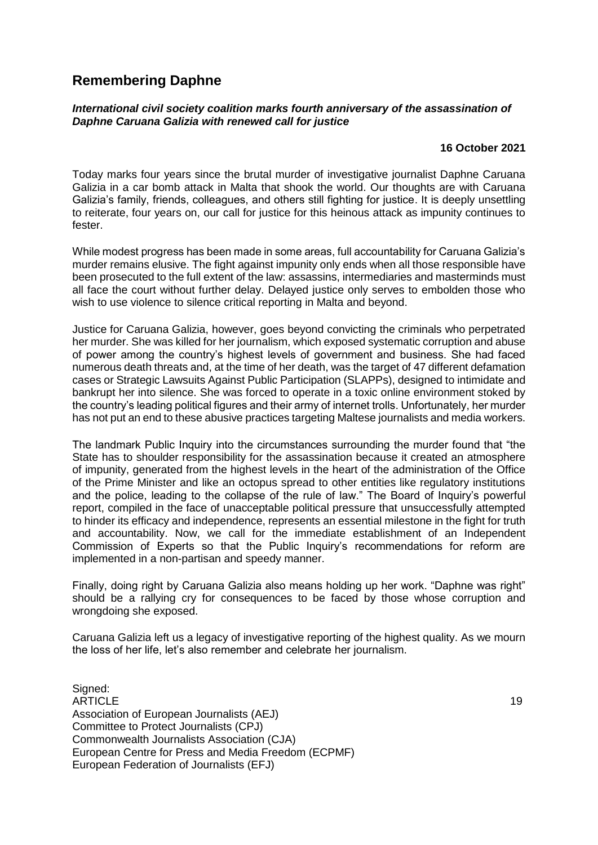## **Remembering Daphne**

## *International civil society coalition marks fourth anniversary of the assassination of Daphne Caruana Galizia with renewed call for justice*

## **16 October 2021**

Today marks four years since the brutal murder of investigative journalist Daphne Caruana Galizia in a car bomb attack in Malta that shook the world. Our thoughts are with Caruana Galizia's family, friends, colleagues, and others still fighting for justice. It is deeply unsettling to reiterate, four years on, our call for justice for this heinous attack as impunity continues to fester.

While modest progress has been made in some areas, full accountability for Caruana Galizia's murder remains elusive. The fight against impunity only ends when all those responsible have been prosecuted to the full extent of the law: assassins, intermediaries and masterminds must all face the court without further delay. Delayed justice only serves to embolden those who wish to use violence to silence critical reporting in Malta and beyond.

Justice for Caruana Galizia, however, goes beyond convicting the criminals who perpetrated her murder. She was killed for her journalism, which exposed systematic corruption and abuse of power among the country's highest levels of government and business. She had faced numerous death threats and, at the time of her death, was the target of 47 different defamation cases or Strategic Lawsuits Against Public Participation (SLAPPs), designed to intimidate and bankrupt her into silence. She was forced to operate in a toxic online environment stoked by the country's leading political figures and their army of internet trolls. Unfortunately, her murder has not put an end to these abusive practices targeting Maltese journalists and media workers.

The landmark Public Inquiry into the circumstances surrounding the murder found that "the State has to shoulder responsibility for the assassination because it created an atmosphere of impunity, generated from the highest levels in the heart of the administration of the Office of the Prime Minister and like an octopus spread to other entities like regulatory institutions and the police, leading to the collapse of the rule of law." The Board of Inquiry's powerful report, compiled in the face of unacceptable political pressure that unsuccessfully attempted to hinder its efficacy and independence, represents an essential milestone in the fight for truth and accountability. Now, we call for the immediate establishment of an Independent Commission of Experts so that the Public Inquiry's recommendations for reform are implemented in a non-partisan and speedy manner.

Finally, doing right by Caruana Galizia also means holding up her work. "Daphne was right" should be a rallying cry for consequences to be faced by those whose corruption and wrongdoing she exposed.

Caruana Galizia left us a legacy of investigative reporting of the highest quality. As we mourn the loss of her life, let's also remember and celebrate her journalism.

Signed: ARTICLE AND A SERVICE AND A SERVICE AND A SERVICE AND A SERVICE AND A SERVICE AND A SERVICE AND A SERVICE AND Association of European Journalists (AEJ) Committee to Protect Journalists (CPJ) Commonwealth Journalists Association (CJA) European Centre for Press and Media Freedom (ECPMF) European Federation of Journalists (EFJ)